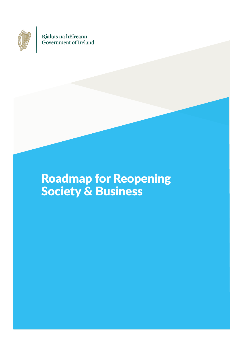

Rialtas na hÉireann Government of Ireland

# Roadmap for Reopening Society & Business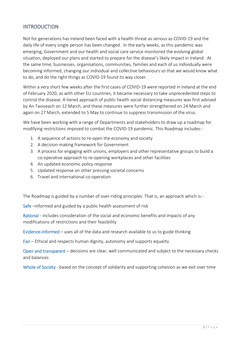# INTRODUCTION

Not for generations has Ireland been faced with a health threat as serious as COVID-19 and the daily life of every single person has been changed. In the early weeks, as this pandemic was emerging, Government and our health and social care service monitored the evolving global situation, deployed our plans and started to prepare for the disease's likely impact in Ireland. At the same time, businesses, organisations, communities, families and each of us individually were becoming informed, changing our individual and collective behaviours so that we would know what to do, and do the right things as COVID-19 found its way closer.

Within a very short few weeks after the first cases of COVID-19 were reported in Ireland at the end of February 2020, as with other EU countries, it became necessary to take unprecedented steps to control the disease. A tiered approach of public health social distancing measures was first advised by An Taoiseach on 12 March, and these measures were further strengthened on 24 March and again on 27 March, extended to 5 May to continue to suppress transmission of the virus.

We have been working with a range of Departments and stakeholders to draw up a roadmap for modifying restrictions imposed to combat the COVID-19 pandemic. This Roadmap includes:-

- 1. A sequence of actions to re-open the economy and society
- 2. A decision-making framework for Government
- 3. A process for engaging with unions, employers and other representative groups to build a co-operative approach to re-opening workplaces and other facilities
- 4. An updated economic policy response
- 5. Updated response on other pressing societal concerns
- 6. Travel and international co-operation

The Roadmap is guided by a number of over-riding principles. That is, an approach which is:-

Safe –informed and guided by a public health assessment of risk

Rational - includes consideration of the social and economic benefits and impacts of any modifications of restrictions and their feasibility

Evidence-informed – uses all of the data and research available to us to guide thinking

Fair – Ethical and respects human dignity, autonomy and supports equality

Open and transparent – decisions are clear, well communicated and subject to the necessary checks and balances

Whole of Society - based on the concept of solidarity and supporting cohesion as we exit over time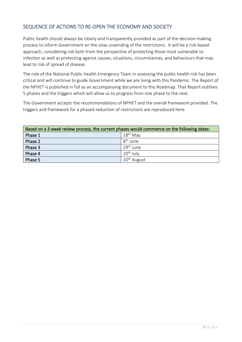# SEQUENCE OF ACTIONS TO RE-OPEN THE ECONOMY AND SOCIETY

Public health should always be clearly and transparently provided as part of the decision-making process to inform Government on the slow unwinding of the restrictions. It will be a risk-based approach, considering risk both from the perspective of protecting those most vulnerable to infection as well as protecting against causes, situations, circumstances, and behaviours that may lead to risk of spread of disease.

The role of the National Public Health Emergency Team in assessing the public health risk has been critical and will continue to guide Government while we are living with this Pandemic. The Report of the NPHET is published in full as an accompanying document to this Roadmap. That Report outlines 5 phases and the triggers which will allow us to progress from one phase to the next.

The Government accepts the recommendations of NPHET and the overall framework provided. The triggers and framework for a phased reduction of restrictions are reproduced here.

| Based on a 3 week review process, the current phases would commence on the following dates: |                         |  |  |  |
|---------------------------------------------------------------------------------------------|-------------------------|--|--|--|
| Phase 1                                                                                     | $18^{\text{th}}$ May    |  |  |  |
| Phase 2                                                                                     | 8 <sup>th</sup> June    |  |  |  |
| Phase 3                                                                                     | 29 <sup>th</sup> June   |  |  |  |
| Phase 4                                                                                     | $20th$ July             |  |  |  |
| Phase 5                                                                                     | 10 <sup>th</sup> August |  |  |  |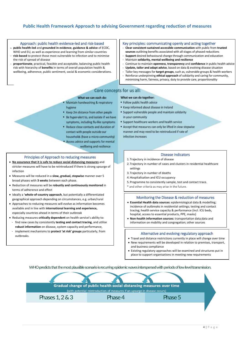## **Public Health Framework Approach to advising Government regarding reduction of measures**



- **public health-led** and **grounded in evidence**, **guidance & advice** of ECDC, WHO and EU, as well as experience and learning from similar countries - **risk-based** to protect those most vulnerable to infection and to minimise
- the risk of spread of disease - **proportionate**, practical, feasible and acceptable, balancing public health risk with hierarchy of **benefits** in terms of overall population health & wellbeing, adherence, public sentiment, social & economic considerations.

#### Key principles: communicating openly and acting together

- **Clear consistent sustained accessible communication** with public from **trusted sources** outlining benefits associated with all stages of phased reductions
- **Support** desired behavioural change through communication and education
- Maintain **solidarity, mental wellbeing and resilience**
- Continue to maintain **openness**, **transparency** and **confidence** in public health advice
- **Update, tailor and adapt advice**, based on data & evolving disease situation - Tailor key messages for **target groups**, such as, vulnerable groups & health workers
- Reinforce underpinning **ethical approach** of solidarity and caring for community, minimising harm, fairness, privacy, duty to provide care, proportionality

### Core concepts for us all:

#### What we can each do:

- Maintain handwashing & respiratory hygiene
- " Keep 2m distance from other people
- . Be hyper-alert to, and isolate if we have symptoms, including flu-like symptoms
- Reduce close contacts and duration of contact with people outside our
- households (have a micro-community) Access advice and supports for mental

wellbeing and resilience

#### Principles of Approach to reducing measures

- **No assurance that it is safe to reduce social distancing measures** and stricter measures will have to be reintroduced if there is strong upsurge of infection
- Measures will be reduced in a **slow, gradual, stepwise** manner over 5 broad phases with **3 weeks** between each phase.
- Reduction of measures will be **robustly and continuously monitored** in terms of adherence and effect
- Ideally a '**whole-of-country approach**, but potentially a differentiated geographical approach depending on circumstances, e.g. urban/rural
- Approaches to reducing measures will evolve as information becomes available and in line with **international learning and experience,**  especially countries ahead in terms of their outbreak
- Reducing measures **critically dependent** on health service's ability to: - find new cases by consistently **testing and contact tracing**, and utilise
- **robust information** on disease, system capacity and performance, - implement mechanisms to **protect 'at risk' groups** particularly, from
- outbreaks.

## What we can do together:

- · Follow public health advice
- . Keep informed about disease in Ireland
- · Support vulnerable people and maintain solidarity in your community
- . Support healthcare workers and health service
- . Accept that measures can only be lifted in slow stepwise manner and may need to be reintroduced if rate of infection increases

#### Disease indicators

- 1. Trajectory in incidence of disease
- 2. Trajectory in number of cases and clusters in residential healthcare settings
- 3. Trajectory in number of deaths
- 4.Hospitalisation and ICU occupancy
- 5. Programme to consistently sample, test and contact trace.
- \* and other criteria as may arise in the future.

#### Monitoring the Disease & reduction of measures

- **Essential Health data sources:** epidemiological data & modelling; incidence of outbreaks in residential settings; testing and contact tracing; health service capacity & performance (incl. ICU beds, hospital, access to essential products, PPE, masks)
- **Non-health information sources:** transportation data;data and information on mobility and congregation; other sources

#### Alternative and evolving regulatory approach

- Travel and distance restrictions currently in place will change over time
- New requirements will be developed in relation to premises, transport, and business compliance
- Existing regulatory approaches will be examined and structures put in place to support organisations in meeting new requirements

WHO predicts that the most plausible scenario is recurring epidemic waves interspersed with periods of low level transmission.

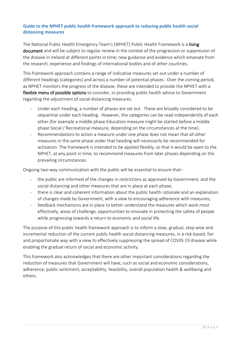## **Guide to the NPHET public health framework approach to reducing public health social distancing measures**

The National Public Health Emergency Team's (NPHET) Public Health Framework is a living document and will be subject to regular review in the context of the progression or suppression of the disease in Ireland at different points in time; new guidance and evidence which emanate from the research, experience and findings of international bodies and of other countries.

This framework approach contains a range of indicative measures set out under a number of different headings (categories) and across a number of potential phases. Over the coming period, as NPHET monitors the progress of the disease, these are intended to provide the NPHET with a flexible menu of possible options to consider, in providing public health advice to Government regarding the adjustment of social distancing measures.

- Under each heading, a number of phases are set out. These are broadly considered to be sequential under each heading. However, the categories can be read independently of each other (for example a middle phase Education measure might be started before a middle phase Social / Recreational measure, depending on the circumstances at the time).
- Recommendations to action a measure under one phase does not mean that all other measures in the same phase under that heading will necessarily be recommended for activation. The framework is intended to be applied flexibly, so that it would be open to the NPHET, at any point in time, to recommend measures from later phases depending on the prevailing circumstances.

Ongoing two-way communication with the public will be essential to ensure that–

- the public are informed of the changes in restrictions as approved by Government, and the social distancing and other measures that are in place at each phase;
- there is clear and coherent information about the public health rationale and an explanation of changes made by Government, with a view to encouraging adherence with measures;
- feedback mechanisms are in place to better understand the measures which work most effectively, areas of challenge, opportunities to innovate in protecting the safety of people while progressing towards a return to economic and social life.

The purpose of this public health framework approach is to inform a slow, gradual, step-wise and incremental reduction of the current public health social distancing measures, in a risk-based, fair and proportionate way with a view to effectively suppressing the spread of COVID-19 disease while enabling the gradual return of social and economic activity.

This framework also acknowledges that there are other important considerations regarding the reduction of measures that Government will have, such as social and economic considerations, adherence, public sentiment, acceptability, feasibility, overall population health & wellbeing and others.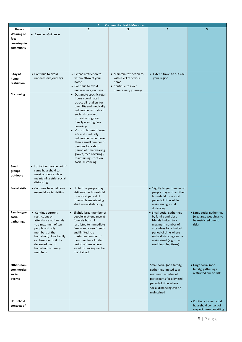| 1.<br><b>Community Health Measures</b> |                                                 |                                                    |                           |                                                   |                            |  |
|----------------------------------------|-------------------------------------------------|----------------------------------------------------|---------------------------|---------------------------------------------------|----------------------------|--|
| Phases                                 | 1                                               | $\overline{2}$                                     | 3                         | 4                                                 | 5                          |  |
| <b>Wearing of</b>                      | • Based on Guidance                             |                                                    |                           |                                                   |                            |  |
| face                                   |                                                 |                                                    |                           |                                                   |                            |  |
| coverings in                           |                                                 |                                                    |                           |                                                   |                            |  |
| community                              |                                                 |                                                    |                           |                                                   |                            |  |
|                                        |                                                 |                                                    |                           |                                                   |                            |  |
|                                        |                                                 |                                                    |                           |                                                   |                            |  |
|                                        |                                                 |                                                    |                           |                                                   |                            |  |
|                                        |                                                 |                                                    |                           |                                                   |                            |  |
|                                        |                                                 |                                                    |                           |                                                   |                            |  |
| 'Stay at                               | • Continue to avoid                             | • Extend restriction to                            | • Maintain restriction to | • Extend travel to outside                        |                            |  |
| home'                                  | unnecessary journeys                            | within 20km of your                                | within 20km of your       | your region                                       |                            |  |
| restriction                            |                                                 | home                                               | home                      |                                                   |                            |  |
|                                        |                                                 | • Continue to avoid                                | • Continue to avoid       |                                                   |                            |  |
|                                        |                                                 | unnecessary journeys                               | unnecessary journeys      |                                                   |                            |  |
| Cocooning                              |                                                 | • Designate specific retail                        |                           |                                                   |                            |  |
|                                        |                                                 | hours coordinated                                  |                           |                                                   |                            |  |
|                                        |                                                 | across all retailers for                           |                           |                                                   |                            |  |
|                                        |                                                 | over 70s and medically                             |                           |                                                   |                            |  |
|                                        |                                                 | vulnerable, with strict                            |                           |                                                   |                            |  |
|                                        |                                                 | social distancing;<br>provision of gloves,         |                           |                                                   |                            |  |
|                                        |                                                 | ideally wearing face                               |                           |                                                   |                            |  |
|                                        |                                                 | coverings                                          |                           |                                                   |                            |  |
|                                        |                                                 | • Visits to homes of over                          |                           |                                                   |                            |  |
|                                        |                                                 | 70s and medically                                  |                           |                                                   |                            |  |
|                                        |                                                 | vulnerable by no more                              |                           |                                                   |                            |  |
|                                        |                                                 | than a small number of                             |                           |                                                   |                            |  |
|                                        |                                                 | persons for a short                                |                           |                                                   |                            |  |
|                                        |                                                 | period of time wearing                             |                           |                                                   |                            |  |
|                                        |                                                 | gloves, face coverings,                            |                           |                                                   |                            |  |
|                                        |                                                 | maintaining strict 2m                              |                           |                                                   |                            |  |
|                                        |                                                 | social distancing                                  |                           |                                                   |                            |  |
| Small                                  | • Up to four people not of<br>same household to |                                                    |                           |                                                   |                            |  |
| groups                                 | meet outdoors while                             |                                                    |                           |                                                   |                            |  |
| outdoors                               | maintaining strict social                       |                                                    |                           |                                                   |                            |  |
|                                        | distancing                                      |                                                    |                           |                                                   |                            |  |
|                                        |                                                 |                                                    |                           |                                                   |                            |  |
| <b>Social visits</b>                   | • Continue to avoid non-                        | • Up to four people may<br>visit another household |                           | • Slightly larger number of                       |                            |  |
|                                        | essential social visiting                       | for a short period of                              |                           | people may visit another<br>household for a short |                            |  |
|                                        |                                                 | time while maintaining                             |                           | period of time while                              |                            |  |
|                                        |                                                 | strict social distancing                           |                           | maintaining social                                |                            |  |
|                                        |                                                 |                                                    |                           | distancing                                        |                            |  |
| Family-type                            | • Continue current                              | • Slightly larger number of                        |                           | • Small social gatherings                         | • Large social gatherings  |  |
| social                                 | restrictions on                                 | people in attendance at                            |                           | by family and close                               | (e.g. large weddings to    |  |
| gatherings                             | attendance at funerals                          | funerals but still                                 |                           | friends limited to a                              | be restricted due to       |  |
|                                        | to a maximum of ten                             | restricted to immediate                            |                           | maximum number of                                 | risk)                      |  |
|                                        | people and only                                 | family and close friends                           |                           | attendees for a limited                           |                            |  |
|                                        | members of the                                  | and limited to a                                   |                           | period of time where                              |                            |  |
|                                        | household, close family                         | maximum number of                                  |                           | social distancing can be                          |                            |  |
|                                        | or close friends if the                         | mourners for a limited                             |                           | maintained (e.g. small                            |                            |  |
|                                        | deceased has no                                 | period of time where                               |                           | weddings, baptisms)                               |                            |  |
|                                        | household or family<br>members                  | social distancing can be<br>maintained             |                           |                                                   |                            |  |
|                                        |                                                 |                                                    |                           |                                                   |                            |  |
|                                        |                                                 |                                                    |                           |                                                   |                            |  |
| Other (non-                            |                                                 |                                                    |                           | Small social (non-family)                         | • Large social (non-       |  |
| commercial)                            |                                                 |                                                    |                           |                                                   | family) gatherings         |  |
|                                        |                                                 |                                                    |                           | gatherings limited to a                           | restricted due to risk     |  |
| social                                 |                                                 |                                                    |                           | maximum number of                                 |                            |  |
| events                                 |                                                 |                                                    |                           | participants for a limited                        |                            |  |
|                                        |                                                 |                                                    |                           | period of time where                              |                            |  |
|                                        |                                                 |                                                    |                           | social distancing can be                          |                            |  |
|                                        |                                                 |                                                    |                           | maintained                                        |                            |  |
|                                        |                                                 |                                                    |                           |                                                   |                            |  |
| Household                              |                                                 |                                                    |                           |                                                   | • Continue to restrict all |  |
| contacts of                            |                                                 |                                                    |                           |                                                   | household contact of       |  |
|                                        |                                                 |                                                    |                           |                                                   | suspect cases (awaiting    |  |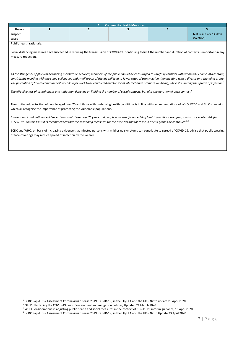|               | <b>Community Health Measures</b><br>4. T |  |  |  |                         |  |
|---------------|------------------------------------------|--|--|--|-------------------------|--|
| <b>Phases</b> |                                          |  |  |  |                         |  |
| suspect       |                                          |  |  |  | test results or 14 days |  |
| cases         |                                          |  |  |  | isolation)              |  |

l

Social distancing measures have succeeded in reducing the transmission of COVID-19. Continuing to limit the number and duration of contacts is important in any measure reduction.

*As the stringency of physical distancing measures is reduced, members of the public should be encouraged to carefully consider with whom they come into contact; consistently meeting with the same colleagues and small group of friends will lead to lower rates of transmission than meeting with a diverse and changing group. The promotion of 'micro-communities' will allow for work to be conducted and for social interaction to promote wellbeing, while still limiting the spread of infection<sup>1</sup> .* 

*The effectiveness of containment and mitigation depends on limiting the number of social contacts, but also the duration of each contact<sup>2</sup> .* 

The continued protection of people aged over 70 and those with underlying health conditions is in line with recommendations of WHO, ECDC and EU Commission which all recognise the importance of protecting the vulnerable populations.

*International and national evidence shows that those over 70 years and people with specific underlying health conditions are groups with an elevated risk for COVID-19. On this basis it is recommended that the cocooning measures for the over 70s and for those in at risk groups be continued3 ,4 .* 

ECDC and WHO, on basis of increasing evidence that infected persons with mild or no symptoms can contribute to spread of COVID-19, advise that public wearing of face coverings may reduce spread of infection by the wearer.

<sup>1</sup> ECDC Rapid Risk Assessment Coronavirus disease 2019 (COVID-19) in the EU/EEA and the UK – Ninth update 23 April 2020

<sup>2</sup> OECD: Flattening the COVID-19 peak: Containment and mitigation policies, Updated 24 March 2020

<sup>&</sup>lt;sup>3</sup> WHO Considerations in adjusting public health and social measures in the context of COVID-19: interim guidance, 16 April 2020

<sup>4</sup> ECDC Rapid Risk Assessment Coronavirus disease 2019 (COVID-19) in the EU/EEA and the UK – Ninth Update 23 April 2020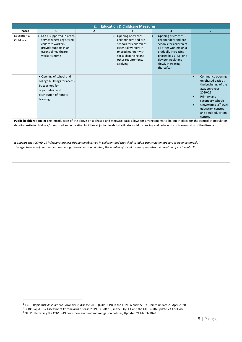| <b>Education &amp; Childcare Measures</b><br>2.                                                                                                                                                                                                                                                                                                                                                                                                                                                            |                                                                                                                                              |                |                                                                                                                                                                                               |                                                                                                                                                                                                             |                                                                                                                                                                                                                                                          |  |
|------------------------------------------------------------------------------------------------------------------------------------------------------------------------------------------------------------------------------------------------------------------------------------------------------------------------------------------------------------------------------------------------------------------------------------------------------------------------------------------------------------|----------------------------------------------------------------------------------------------------------------------------------------------|----------------|-----------------------------------------------------------------------------------------------------------------------------------------------------------------------------------------------|-------------------------------------------------------------------------------------------------------------------------------------------------------------------------------------------------------------|----------------------------------------------------------------------------------------------------------------------------------------------------------------------------------------------------------------------------------------------------------|--|
| <b>Phases</b>                                                                                                                                                                                                                                                                                                                                                                                                                                                                                              | $\mathbf{1}$                                                                                                                                 | $\overline{2}$ |                                                                                                                                                                                               | $\overline{a}$                                                                                                                                                                                              | 5.                                                                                                                                                                                                                                                       |  |
| Education &<br>Childcare                                                                                                                                                                                                                                                                                                                                                                                                                                                                                   | • DCYA-supported in-reach<br>service where registered<br>childcare workers<br>provide support in an<br>essential healthcare<br>worker's home |                | Opening of crèches,<br>$\bullet$<br>childminders and pre-<br>schools for children of<br>essential workers in<br>phased manner with<br>social distancing and<br>other requirements<br>applying | Opening of crèches,<br>childminders and pre-<br>schools for children of<br>all other workers on a<br>gradually increasing<br>phased basis (e.g. one<br>day per week) and<br>slowly increasing<br>thereafter |                                                                                                                                                                                                                                                          |  |
|                                                                                                                                                                                                                                                                                                                                                                                                                                                                                                            | • Opening of school and<br>college buildings for access<br>by teachers for<br>organisation and<br>distribution of remote<br>learning         |                |                                                                                                                                                                                               |                                                                                                                                                                                                             | Commence opening<br>$\bullet$<br>on phased basis at<br>the beginning of the<br>academic year<br>2020/21:<br>Primary and<br>$\bullet$<br>secondary schools<br>Universities, 3rd level<br>$\bullet$<br>education centres<br>and adult education<br>centres |  |
| Public health rationale: The introduction of the above on a phased and stepwise basis allows for arrangements to be put in place for the control of population<br>density onsite in childcare/pre-school and education facilities at junior levels to facilitate social distancing and reduce risk of transmission of the disease.<br>It appears that COVID-19 infections are less frequently observed in children <sup>5</sup> and that child-to-adult transmission appears to be uncommon <sup>6</sup> . |                                                                                                                                              |                |                                                                                                                                                                                               |                                                                                                                                                                                                             |                                                                                                                                                                                                                                                          |  |

*The effectiveness of containment and mitigation depends on limiting the number of social contacts, but also the duration of each contact<sup>7</sup> .* 

<sup>6</sup> ECDC Rapid Risk Assessment Coronavirus disease 2019 (COVID-19) in the EU/EEA and the UK – ninth update 23 April 2020<br><sup>7</sup> OECD: Flattening the COVID-19 peak: Containment and mitigation policies, Updated 24 March 2020

 $\overline{a}$ 

<sup>5</sup> ECDC Rapid Risk Assessment Coronavirus disease 2019 (COVID-19) in the EU/EEA and the UK – ninth update 23 April 2020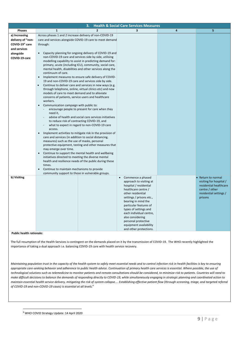| 3.<br><b>Health &amp; Social Care Services Measures</b> |                                                                                                             |                                                                                                                    |                                                  |   |                         |  |
|---------------------------------------------------------|-------------------------------------------------------------------------------------------------------------|--------------------------------------------------------------------------------------------------------------------|--------------------------------------------------|---|-------------------------|--|
| <b>Phases</b>                                           | $\mathbf{1}$                                                                                                | $\overline{2}$                                                                                                     | 3                                                | 4 | 5                       |  |
| a) Increasing                                           | Across phases 1 and 2 increase delivery of non-COVID-19                                                     |                                                                                                                    |                                                  |   |                         |  |
| delivery of "non-                                       | care and services alongside COVID-19 care to meet demand                                                    |                                                                                                                    |                                                  |   |                         |  |
| COVID-19" care                                          | through:                                                                                                    |                                                                                                                    |                                                  |   |                         |  |
| and services                                            |                                                                                                             |                                                                                                                    |                                                  |   |                         |  |
| alongside                                               | $\bullet$                                                                                                   | Capacity planning for ongoing delivery of COVID-19 and                                                             |                                                  |   |                         |  |
| COVID-19-care                                           |                                                                                                             | non-COVID-19 care and services side by side, utilising                                                             |                                                  |   |                         |  |
|                                                         |                                                                                                             | modelling capability to assist in predicting demand for:                                                           |                                                  |   |                         |  |
|                                                         |                                                                                                             | primary, acute (including ICU), community, social care,                                                            |                                                  |   |                         |  |
|                                                         |                                                                                                             | mental health, disabilities and other services along the                                                           |                                                  |   |                         |  |
|                                                         | continuum of care.                                                                                          |                                                                                                                    |                                                  |   |                         |  |
|                                                         | $\bullet$                                                                                                   | Implement measures to ensure safe delivery of COVID-                                                               |                                                  |   |                         |  |
|                                                         |                                                                                                             | 19 and non-COVID-19 care and services side by side.                                                                |                                                  |   |                         |  |
|                                                         |                                                                                                             | Continue to deliver care and services in new ways (e.g.<br>through telephone, online, virtual clinics etc) and new |                                                  |   |                         |  |
|                                                         | models of care to meet demand and to alleviate                                                              |                                                                                                                    |                                                  |   |                         |  |
|                                                         | concerns of patients, service users and healthcare                                                          |                                                                                                                    |                                                  |   |                         |  |
|                                                         | workers.                                                                                                    |                                                                                                                    |                                                  |   |                         |  |
|                                                         | Communication campaign with public to:<br>$\bullet$                                                         |                                                                                                                    |                                                  |   |                         |  |
|                                                         |                                                                                                             | encourage people to present for care when they                                                                     |                                                  |   |                         |  |
|                                                         | need it,                                                                                                    |                                                                                                                    |                                                  |   |                         |  |
|                                                         |                                                                                                             | advise of health and social care services initiatives                                                              |                                                  |   |                         |  |
|                                                         | to reduce risk of contracting COVID-19, and                                                                 |                                                                                                                    |                                                  |   |                         |  |
|                                                         | access.                                                                                                     | what to expect in regard to non-COVID-19 care                                                                      |                                                  |   |                         |  |
|                                                         | $\bullet$                                                                                                   | Implement activities to mitigate risk in the provision of                                                          |                                                  |   |                         |  |
|                                                         | care and services (in addition to social distancing.                                                        |                                                                                                                    |                                                  |   |                         |  |
|                                                         | measures) such as the use of masks, personal                                                                |                                                                                                                    |                                                  |   |                         |  |
|                                                         |                                                                                                             | protective equipment, testing and other measures that                                                              |                                                  |   |                         |  |
|                                                         | may emerge over time.                                                                                       |                                                                                                                    |                                                  |   |                         |  |
|                                                         | $\bullet$                                                                                                   | Continue to support the mental health and wellbeing                                                                |                                                  |   |                         |  |
|                                                         | initiatives directed to meeting the diverse mental                                                          |                                                                                                                    |                                                  |   |                         |  |
|                                                         |                                                                                                             | health and resilience needs of the public during these                                                             |                                                  |   |                         |  |
|                                                         | times.                                                                                                      |                                                                                                                    |                                                  |   |                         |  |
|                                                         | Continue to maintain mechanisms to provide<br>$\bullet$<br>community support to those in vulnerable groups. |                                                                                                                    |                                                  |   |                         |  |
| b) Visiting                                             |                                                                                                             |                                                                                                                    | Commence a phased                                |   | • Return to normal      |  |
|                                                         |                                                                                                             |                                                                                                                    | approach to visiting at                          |   | visiting for hospital / |  |
|                                                         |                                                                                                             |                                                                                                                    | hospital / residential                           |   | residential healthcare  |  |
|                                                         |                                                                                                             |                                                                                                                    | healthcare centre /                              |   | centre / other          |  |
|                                                         |                                                                                                             |                                                                                                                    | other residential                                |   | residential settings /  |  |
|                                                         |                                                                                                             |                                                                                                                    | settings / prisons etc.,                         |   | prisons                 |  |
|                                                         |                                                                                                             |                                                                                                                    | bearing in mind the                              |   |                         |  |
|                                                         |                                                                                                             |                                                                                                                    | particular features of                           |   |                         |  |
|                                                         |                                                                                                             |                                                                                                                    | types of settings and<br>each individual centre, |   |                         |  |
|                                                         |                                                                                                             |                                                                                                                    | also considering                                 |   |                         |  |
|                                                         |                                                                                                             |                                                                                                                    | personal protective                              |   |                         |  |
|                                                         |                                                                                                             |                                                                                                                    | equipment availability                           |   |                         |  |
|                                                         |                                                                                                             |                                                                                                                    | and other protections.                           |   |                         |  |

 $\overline{a}$ 

The full resumption of the Health Services is contingent on the demands placed on it by the transmission of COVID-19. The WHO recently highlighted the importance of taking a dual approach i.e. balancing COVID-19 care with health service recovery.

*Maintaining population trust in the capacity of the health system to safely meet essential needs and to control infection risk in health facilities is key to ensuring appropriate care*‑*seeking behavior and adherence to public health advice. Continuation of primary health care services is essential. Where possible, the use of technological solutions such as telemedicine to monitor patients and remote consultations should be considered, to minimize risk to patients. Countries will need to make difficult decisions to balance the demands of responding directly to COVID-19, while simultaneously engaging in strategic planning and coordinated action to* maintain essential health service delivery, mitigating the risk of system collapse.... Establishing effective patient flow (through screening, triage, and targeted referral *of COVID*‑*19 and non-COVID*‑*19 cases) is essential at all levels.<sup>8</sup>*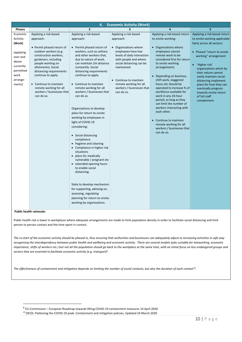| $\overline{2}$<br>3                                                                                                                                                                                                                                                                                                                                                                                                                                                                                                                                                                                                                                                                                                                                                                                                                                       |                                                                                                                                                                                                                                                                                                                                                                                                                                                             |                                                                                                                                                                                                                                                                                                                                                                                  |
|-----------------------------------------------------------------------------------------------------------------------------------------------------------------------------------------------------------------------------------------------------------------------------------------------------------------------------------------------------------------------------------------------------------------------------------------------------------------------------------------------------------------------------------------------------------------------------------------------------------------------------------------------------------------------------------------------------------------------------------------------------------------------------------------------------------------------------------------------------------|-------------------------------------------------------------------------------------------------------------------------------------------------------------------------------------------------------------------------------------------------------------------------------------------------------------------------------------------------------------------------------------------------------------------------------------------------------------|----------------------------------------------------------------------------------------------------------------------------------------------------------------------------------------------------------------------------------------------------------------------------------------------------------------------------------------------------------------------------------|
|                                                                                                                                                                                                                                                                                                                                                                                                                                                                                                                                                                                                                                                                                                                                                                                                                                                           | $\overline{a}$                                                                                                                                                                                                                                                                                                                                                                                                                                              | 5                                                                                                                                                                                                                                                                                                                                                                                |
| Applying a risk-based<br>Applying a risk-based<br>approach:<br>approach:<br>• Permit phased return of<br>workers, such as solitary<br>and other workers that,<br>due to nature of work,<br>can maintain 2m distance<br>constantly. Social<br>distancing requirements<br>continue to apply.<br>• Continue to maintain<br>remote working for all<br>workers / businesses that<br>can do so.<br>can do so.<br>Organisations to develop<br>plans for return to onsite<br>working by employees in<br>light of COVID-19<br>considering:<br>• Social distancing<br>compliance<br>• Hygiene and cleaning<br>• Compliance in higher risk<br>situations<br>• plans for medically<br>vulnerable / pregnant etc<br>• extended opening hours<br>to enable social<br>distancing.<br>State to develop mechanism<br>for supporting, advising on,<br>assessing, regulating | Applying a risk-based return<br>to onsite working:<br>• Organisations where<br>employees cannot<br>remote work to be<br>to onsite working<br>arrangements.<br>• Depending on business,<br>shift work, staggered<br>hours etc should be<br>workforce available for<br>work in any 24-hour<br>period, as long as they<br>can limit the number of<br>workers interacting with<br>each other.<br>• Continue to maintain<br>remote working for all<br>can do so. | Applying a risk-based return<br>to onsite working applicable<br>fairly across all sectors:<br>• Phased "return to onsite<br>working" arrangement<br>• 'Higher risk'<br>organisations which by<br>their nature cannot<br>easily maintain social<br>distancing implement<br>plans for how they can<br>eventually progress<br>towards onsite return<br>of full staff<br>complement. |
|                                                                                                                                                                                                                                                                                                                                                                                                                                                                                                                                                                                                                                                                                                                                                                                                                                                           | maintained.<br>planning for return to onsite                                                                                                                                                                                                                                                                                                                                                                                                                | • Organisations where<br>employees have low<br>levels of daily interaction<br>considered first for return<br>with people and where<br>social distancing can be<br>• Continue to maintain<br>remote working for all<br>workers / businesses that<br>operated to increase % of<br>workers / businesses that                                                                        |

j

Public health risk is lower in workplaces where adequate arrangements are made to limit population density in order to facilitate social distancing and limit person to person contact and the time spent in contact.

*The re-start of the economic activity should be phased in, thus ensuring that authorities and businesses can adequately adjust to increasing activities in safe way*  recognising the interdependency between public health and wellbeing and economic activity. There are several models (jobs suitable for teleworking, economic *importance, shifts of workers etc.) but not all the population should go back to the workplace at the same time, with an initial focus on less endangered groups and sectors that are essential to facilitate economic activity (e.g. transport)<sup>9</sup> .* 

*The effectiveness of containment and mitigation depends on limiting the number of social contacts, but also the duration of each contact<sup>10</sup> .* 

9 EU Commission – European Roadmap towards lifting COVID-19 containment measures 14 April 2020

<sup>10</sup> OECD: Flattening the COVID-19 peak: Containment and mitigation policies, Updated 24 March 2020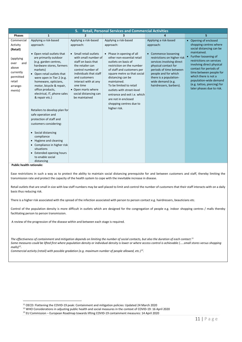| <b>Retail, Personal Services and Commercial Activities</b><br>5.                                                                  |                                                                                                                                                                                                                                                                                                                                                                                                                                                                                                                                                                                                                                      |                                                                                                                                                                                                                                                                                                     |                                                                                                                                                                                                                                                                                                                                                                                                              |                                                                                                                                                                                                                                                                             |                                                                                                                                                                                                                                                                                                                                                             |
|-----------------------------------------------------------------------------------------------------------------------------------|--------------------------------------------------------------------------------------------------------------------------------------------------------------------------------------------------------------------------------------------------------------------------------------------------------------------------------------------------------------------------------------------------------------------------------------------------------------------------------------------------------------------------------------------------------------------------------------------------------------------------------------|-----------------------------------------------------------------------------------------------------------------------------------------------------------------------------------------------------------------------------------------------------------------------------------------------------|--------------------------------------------------------------------------------------------------------------------------------------------------------------------------------------------------------------------------------------------------------------------------------------------------------------------------------------------------------------------------------------------------------------|-----------------------------------------------------------------------------------------------------------------------------------------------------------------------------------------------------------------------------------------------------------------------------|-------------------------------------------------------------------------------------------------------------------------------------------------------------------------------------------------------------------------------------------------------------------------------------------------------------------------------------------------------------|
| <b>Phases</b>                                                                                                                     | $\mathbf{1}$                                                                                                                                                                                                                                                                                                                                                                                                                                                                                                                                                                                                                         | $\overline{2}$                                                                                                                                                                                                                                                                                      | 3                                                                                                                                                                                                                                                                                                                                                                                                            | $\mathbf{a}$                                                                                                                                                                                                                                                                | 5.                                                                                                                                                                                                                                                                                                                                                          |
| Commercial<br>Activity<br>(Retail)<br>(applying<br>over<br>and<br>above<br>currently<br>permitted<br>retail<br>arrange-<br>ments) | Applying a risk-based<br>approach:<br>• Open retail outlets that<br>are primarily outdoor<br>(e.g. garden centres,<br>hardware stores, farmers<br>markets)<br>• Open retail outlets that<br>were open in Tier 2 (e.g.<br>homeware, opticians,<br>motor, bicycle & repair,<br>office products,<br>electrical, IT, phone sales<br>& repair etc.)<br>Retailers to develop plan for<br>safe operation and<br>protection of staff and<br>customers considering:<br>• Social distancing<br>compliance<br>• Hygiene and cleaning<br>• Compliance in higher risk<br>situations<br>• Extended opening hours<br>to enable social<br>distancing | Applying a risk-based<br>approach:<br>• Small retail outlets<br>with small number of<br>staff on basis that<br>the retailer can<br>control number of<br>individuals that staff<br>and customers<br>interact with at any<br>one time<br>• Open marts where<br>social distancing can<br>be maintained | Applying a risk-based<br>approach:<br>• Phase in opening of all<br>other non-essential retail<br>outlets on basis of<br>restriction on the number<br>of staff and customers per<br>square metre so that social<br>distancing can be<br>maintained.<br>To be limited to retail<br>outlets with street-level<br>entrance and exit i.e. which<br>are not in enclosed<br>shopping centres due to<br>higher risk. | Applying a risk-based<br>approach:<br>• Commence loosening<br>restrictions on higher risk<br>services involving direct<br>physical contact for<br>periods of time between<br>people and for which<br>there is a population-<br>wide demand (e.g.<br>hairdressers, barbers). | • Opening of enclosed<br>shopping centres where<br>social distancing can be<br>maintained.<br>Further loosening of<br>$\bullet$<br>restrictions on services<br>involving direct physical<br>contact for periods of<br>time between people for<br>which there is not a<br>population-wide demand<br>(e.g. tattoo, piercing) for<br>later phases due to risk. |

j

Ease restrictions in such a way as to protect the ability to maintain social distancing prerequisite for and between customers and staff, thereby limiting the transmission rate and protect the capacity of the health system to cope with the inevitable increase in disease.

Retail outlets that are small in size with low staff numbers may be well placed to limit and control the number of customers that their staff interacts with on a daily basis thus reducing risk.

There is a higher risk associated with the spread of the infection associated with person to person contact e.g. hairdressers, beauticians etc.

Control of the population density is more difficult in outlets which are designed for the congregation of people e.g. indoor shopping centres / malls thereby facilitating person to person transmission.

A review of the progression of the disease within and between each stage is required.

*The effectiveness of containment and mitigation depends on limiting the number of social contacts, but also the duration of each contact.<sup>11</sup>*  Some measures could be lifted first where population density or individual density is lower or where access control is achievable (.....small stores versus shopping *malls)<sup>12</sup> .* 

*Commercial activity (retail) with possible gradation (e.g. maximum number of people allowed, etc.)*<sup>13</sup> *.* 

<sup>&</sup>lt;sup>11</sup> OECD: Flattening the COVID-19 peak: Containment and mitigation policies: Updated 24 March 2020

<sup>12</sup> WHO Considerations in adjusting public health and social measures in the context of COVID-19: 16 April 2020

<sup>13</sup> EU Commission – European Roadmap towards lifting COVID-19 containment measures: 14 April 2020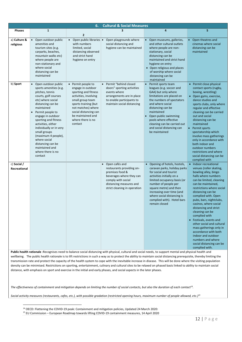| 6.<br><b>Cultural &amp; Social Measures</b> |                                                                                                                                                                                                                                                                                                                                                                                                               |                                                                                                                                                                                                                                          |                                                                                                                                                                               |                                                                                                                                                                                                                                                                                                                                                                                                                                                                              |                                                                                                                                                                                                                                                                                                                                                                                                                                                                                                                                                 |  |
|---------------------------------------------|---------------------------------------------------------------------------------------------------------------------------------------------------------------------------------------------------------------------------------------------------------------------------------------------------------------------------------------------------------------------------------------------------------------|------------------------------------------------------------------------------------------------------------------------------------------------------------------------------------------------------------------------------------------|-------------------------------------------------------------------------------------------------------------------------------------------------------------------------------|------------------------------------------------------------------------------------------------------------------------------------------------------------------------------------------------------------------------------------------------------------------------------------------------------------------------------------------------------------------------------------------------------------------------------------------------------------------------------|-------------------------------------------------------------------------------------------------------------------------------------------------------------------------------------------------------------------------------------------------------------------------------------------------------------------------------------------------------------------------------------------------------------------------------------------------------------------------------------------------------------------------------------------------|--|
| Phases                                      | $\mathbf{1}$                                                                                                                                                                                                                                                                                                                                                                                                  | $\overline{2}$                                                                                                                                                                                                                           | 3                                                                                                                                                                             | $\overline{4}$                                                                                                                                                                                                                                                                                                                                                                                                                                                               | 5                                                                                                                                                                                                                                                                                                                                                                                                                                                                                                                                               |  |
| a) Culture &<br>religious                   | • Open outdoor public<br>amenities and<br>tourism sites (e.g.<br>carparks, beaches,<br>mountain walks etc)<br>where people are<br>non-stationary and<br>where social<br>distancing can be<br>maintained                                                                                                                                                                                                       | • Open public libraries $\bullet$<br>with numbers<br>limited, social<br>distancing observed<br>and strict hand<br>hygiene on entry                                                                                                       | Open playgrounds where<br>social distancing and<br>hygiene can be maintained                                                                                                  | Open museums, galleries,<br>$\bullet$<br>and other cultural outlets<br>where people are non-<br>stationary, social<br>distancing can be<br>maintained and strict hand<br>hygiene on entry<br>• Open religious and places<br>of worship where social<br>distancing can be<br>maintained                                                                                                                                                                                       | Open theatres and<br>٠<br>cinemas where social<br>distancing can be<br>maintained                                                                                                                                                                                                                                                                                                                                                                                                                                                               |  |
| b) Sport                                    | Open outdoor public<br>$\bullet$<br>sports amenities (e.g.<br>pitches, tennis<br>courts, golf courses<br>etc) where social<br>distancing can be<br>maintained<br>Permit people to<br>engage in outdoor<br>sporting and fitness<br>activities, either<br>individually or in very<br>small groups<br>(maximum 4 people),<br>where social<br>distancing can be<br>maintained and<br>where there is no<br>contact | • Permit people to<br>engage in outdoor<br>sporting and fitness<br>activities, involving<br>small group team<br>sports training (but<br>not matches) where<br>social distancing can<br>be maintained and<br>where there is no<br>contact | Permit "behind closed<br>$\bullet$<br>doors" sporting activities<br>events where<br>arrangements are in place<br>to enable participants to<br>maintain social distancing      | Permit sports team<br>leagues (e.g. soccer and<br>GAA) but only where<br>limitations are placed on<br>the numbers of spectators<br>and where social<br>distancing can be<br>maintained<br>Open public swimming<br>pools where effective<br>cleaning can be carried out<br>and social distancing can<br>be maintained                                                                                                                                                         | • Permit close physical<br>contact sports (rugby,<br>boxing, wrestling)<br>• Open gyms, exercise,<br>dance studios and<br>sports clubs, only where<br>regular and effective<br>cleaning can be carried<br>out and social<br>distancing can be<br>maintained<br>Permit sports<br>spectatorship which<br>involve mass gatherings<br>only in accordance with<br>both indoor and<br>outdoor numbers<br>restrictions and where<br>social distancing can be<br>complied with                                                                          |  |
| c) Social /<br>Recreational                 |                                                                                                                                                                                                                                                                                                                                                                                                               |                                                                                                                                                                                                                                          | • Open cafés and<br>restaurants providing on-<br>premises food &<br>beverages where they can<br>comply with social<br>distancing measures and<br>strict cleaning in operation | • Opening of hotels, hostels,<br>caravan parks, holiday parks<br>for social and tourist<br>activities initially on a<br>limited occupancy basis (or<br>number of people per<br>square metre) and then<br>increasing over time (and<br>where social distancing is<br>complied with). Hotel bars<br>remain closed<br>Public health rationale :Recognises need to balance social distancing with physical, cultural and social needs, to support mental and physical health and | • Indoor recreational<br>venues (roller skating,<br>bowling alley, bingo<br>halls where numbers<br>can be limited, cleaning<br>can be maintained,<br>restrictions where social<br>distancing can be<br>complied with. Open<br>pubs, bars, nightclubs,<br>casinos, where social<br>distancing and strict<br>cleaning can be<br>complied with<br>• Festivals, events and<br>other social and cultural<br>mass gatherings only in<br>accordance with both<br>indoor and outdoor<br>numbers and where<br>social distancing can be<br>complied with. |  |

wellbeing. The public health rationale is to lift restrictions in such a way as to protect the ability to maintain social distancing prerequisite, thereby limiting the transmission rate and protect the capacity of the health system to cope with the inevitable increase in disease. This will be done where the visiting population density can be minimised. Restrictions on sporting, entertainment, culinary and cultural sites to be relaxed on phased basis linked to ability to maintain social distance, with emphasis on sport and exercise in the initial and early phases, and social aspects in the later phases.

*The effectiveness of containment and mitigation depends on limiting the number of social contacts, but also the duration of each contact<sup>14</sup> .* 

*Social activity measures (restaurants, cafes, etc.), with possible gradation (restricted opening hours, maximum number of people allowed, etc.)<sup>15</sup>*

j

<sup>&</sup>lt;sup>14</sup> OECD: Flattening the COVID-19 peak: Containment and mitigation policies, Updated 24 March 2020:

<sup>15</sup> EU Commission – European Roadmap towards lifting COVID-19 containment measures, 14 April 2020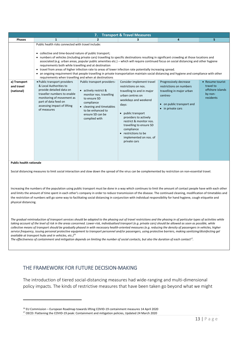|                                          |                                                                                                                                                                                                                                                                                                                                                                                                                                                                                                                                                                                                                                              | 7.                                                                                                                                                                                                   | <b>Transport &amp; Travel Measures</b>                                                                                                                                                                                                                                                                                    |                                                                                                                                                         |                                                                           |
|------------------------------------------|----------------------------------------------------------------------------------------------------------------------------------------------------------------------------------------------------------------------------------------------------------------------------------------------------------------------------------------------------------------------------------------------------------------------------------------------------------------------------------------------------------------------------------------------------------------------------------------------------------------------------------------------|------------------------------------------------------------------------------------------------------------------------------------------------------------------------------------------------------|---------------------------------------------------------------------------------------------------------------------------------------------------------------------------------------------------------------------------------------------------------------------------------------------------------------------------|---------------------------------------------------------------------------------------------------------------------------------------------------------|---------------------------------------------------------------------------|
| <b>Phases</b>                            | 1                                                                                                                                                                                                                                                                                                                                                                                                                                                                                                                                                                                                                                            | $\overline{2}$                                                                                                                                                                                       |                                                                                                                                                                                                                                                                                                                           | 4                                                                                                                                                       | 5.                                                                        |
|                                          | Public health risks connected with travel include:<br>• collective and time-bound nature of public transport;<br>• numbers of vehicles (including private cars) travelling to specific destinations resulting in significant crowding at those locations and<br>requirements both while travelling and at destination<br>• travel from areas of higher infection rate to areas of lower infection rate potentially increasing spread.<br>• an ongoing requirement that people travelling in private transportation maintain social distancing and hygiene and compliance with other<br>requirements when travelling and when at destinations |                                                                                                                                                                                                      |                                                                                                                                                                                                                                                                                                                           | associated (e.g. urban areas, popular public amenities etc.) – which will require continued focus on social distancing and other hygiene                |                                                                           |
| a) Transport<br>and travel<br>(national) | • Public transport providers<br>& Local Authorities to<br>provide detailed data on<br>traveller numbers to enable<br>monitoring of movement as<br>part of data feed on<br>assessing impact of lifting<br>of measures                                                                                                                                                                                                                                                                                                                                                                                                                         | Public transport providers-<br>• actively restrict &<br>monitor nos. travelling<br>to ensure SD<br>compliance<br>• cleaning and timetables<br>to be enhanced to<br>ensure SD can be<br>complied with | Consider implement travel<br>restrictions on nos.<br>travelling to and in major<br>urban centres on<br>weekdays and weekend<br>days:<br>• public transport<br>providers to actively<br>restrict & monitor nos.<br>travelling to ensure SD<br>compliance<br>• restrictions to be<br>implemented on nos. of<br>private cars | Progressively decrease<br>restrictions on numbers<br>travelling in major urban<br>centres-<br>• on public transport and<br>in private cars<br>$\bullet$ | • Resume tourist<br>travel to<br>offshore islands<br>by non-<br>residents |

 $\overline{a}$ 

Social distancing measures to limit social interaction and slow down the spread of the virus can be complemented by restriction on non-essential travel.

Increasing the numbers of the population using public transport must be done in a way which continues to limit the amount of contact people have with each other and limits the amount of time spent in each other's company in order to reduce transmission of the disease. The continued cleaning, modification of timetables and the restriction of numbers will go some way to facilitating social distancing in conjunction with individual responsibility for hand hygiene, cough etiquette and physical distancing.

*The gradual reintroduction of transport services should be adapted to the phasing out of travel restrictions and the phasing in of particular types of activities while*  taking account of the level of risk in the areas concerned. Lower-risk, individualised transport (e.g. private cars) should be allowed as soon as possible, while *collective means of transport should be gradually phased in with necessary health-oriented measures (e.g. reducing the density of passengers in vehicles, higher service frequency, issuing personal protective equipment to transport personnel and/or passengers, using protective barriers, making sanitizing/disinfecting gel available at transport hubs and in vehicles, etc.)*<sup>16</sup>

*The effectiveness of containment and mitigation depends on limiting the number of social contacts, but also the duration of each contact<sup>17</sup> .* 

## THE FRAMEWORK FOR FUTURE DECISION-MAKING

The introduction of tiered social-distancing measures had wide-ranging and multi-dimensional policy impacts. The kinds of restrictive measures that have been taken go beyond what we might

<sup>16</sup> EU Commission – European Roadmap towards lifting COVID-19 containment measures 14 April 2020

<sup>17</sup> OECD: Flattening the COVID-19 peak: Containment and mitigation policies, Updated 24 March 2020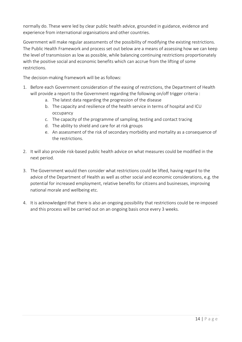normally do. These were led by clear public health advice, grounded in guidance, evidence and experience from international organisations and other countries.

Government will make regular assessments of the possibility of modifying the existing restrictions. The Public Health Framework and process set out below are a means of assessing how we can keep the level of transmission as low as possible, while balancing continuing restrictions proportionately with the positive social and economic benefits which can accrue from the lifting of some restrictions.

The decision-making framework will be as follows:

- 1. Before each Government consideration of the easing of restrictions, the Department of Health will provide a report to the Government regarding the following on/off trigger criteria :
	- a. The latest data regarding the progression of the disease
	- b. The capacity and resilience of the health service in terms of hospital and ICU occupancy
	- c. The capacity of the programme of sampling, testing and contact tracing
	- d. The ability to shield and care for at risk groups
	- e. An assessment of the risk of secondary morbidity and mortality as a consequence of the restrictions.
- 2. It will also provide risk-based public health advice on what measures could be modified in the next period.
- 3. The Government would then consider what restrictions could be lifted, having regard to the advice of the Department of Health as well as other social and economic considerations, e.g. the potential for increased employment, relative benefits for citizens and businesses, improving national morale and wellbeing etc.
- 4. It is acknowledged that there is also an ongoing possibility that restrictions could be re-imposed and this process will be carried out on an ongoing basis once every 3 weeks.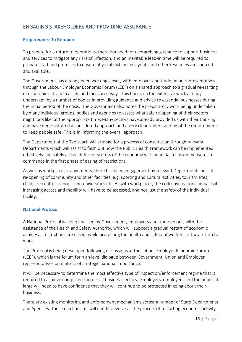# ENGAGING STAKEHOLDERS AND PROVIDING ASSURANCE

## **Preparedness to Re-open**

To prepare for a return to operations, there is a need for overarching guidance to support business and services to mitigate any risks of infection; and an inevitable lead-in time will be required to prepare staff and premises to ensure physical distancing layouts and other resources are sourced and available.

The Government has already been working closely with employer and trade union representatives through the Labour Employer Economic Forum (LEEF) on a shared approach to a gradual re-starting of economic activity in a safe and measured way. This builds on the extensive work already undertaken by a number of bodies in providing guidance and advice to essential businesses during the initial period of the crisis. The Government also notes the preparatory work being undertaken by many individual groups, bodies and agencies to assess what safe re-opening of their sectors might look like, at the appropriate time. Many sectors have already provided us with their thinking and have demonstrated a considered approach and a very clear understanding of the requirements to keep people safe. This is in informing the overall approach.

The Department of the Taoiseach will arrange for a process of consultation through relevant Departments which will assist to flesh out how the Public Health Framework can be implemented effectively and safely across different sectors of the economy with an initial focus on measures to commence in the first phase of easing of restrictions.

As well as workplace arrangements, there has been engagement by relevant Departments on safe re-opening of community and other facilities, e.g. sporting and cultural activities, tourism sites, childcare centres, schools and universities etc. As with workplaces, the collective national impact of increasing access and mobility will have to be assessed, and not just the safety of the individual facility.

## **National Protocol**

A National Protocol is being finalised by Government, employers and trade unions, with the assistance of the Health and Safety Authority, which will support a gradual restart of economic activity as restrictions are eased, while protecting the health and safety of workers as they return to work.

The Protocol is being developed following discussions at the Labour Employer Economic Forum (LEEF), which is the forum for high level dialogue between Government, Union and Employer representatives on matters of strategic national importance.

It will be necessary to determine the most effective type of inspection/enforcement regime that is required to achieve compliance across all business sectors. Employers, employees and the public at large will need to have confidence that they will continue to be protected in going about their business.

There are existing monitoring and enforcement mechanisms across a number of State Departments and Agencies. These mechanisms will need to evolve as the process of restarting economic activity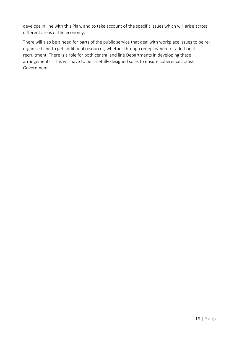develops in line with this Plan, and to take account of the specific issues which will arise across different areas of the economy.

There will also be a need for parts of the public service that deal with workplace issues to be reorganised and to get additional resources, whether through redeployment or additional recruitment. There is a role for both central and line Departments in developing these arrangements. This will have to be carefully designed so as to ensure coherence across Government.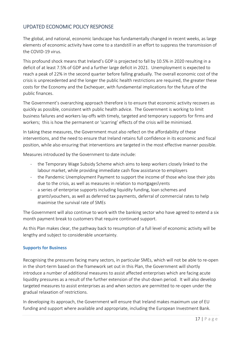# UPDATED ECONOMIC POLICY RESPONSE

The global, and national, economic landscape has fundamentally changed in recent weeks, as large elements of economic activity have come to a standstill in an effort to suppress the transmission of the COVID-19 virus.

This profound shock means that Ireland's GDP is projected to fall by 10.5% in 2020 resulting in a deficit of at least 7.5% of GDP and a further large deficit in 2021. Unemployment is expected to reach a peak of 22% in the second quarter before falling gradually. The overall economic cost of the crisis is unprecedented and the longer the public health restrictions are required, the greater these costs for the Economy and the Exchequer, with fundamental implications for the future of the public finances.

The Government's overarching approach therefore is to ensure that economic activity recovers as quickly as possible, consistent with public health advice. The Government is working to limit business failures and workers lay-offs with timely, targeted and temporary supports for firms and workers; this is how the permanent or 'scarring' effects of the crisis will be minimised.

In taking these measures, the Government must also reflect on the affordability of these interventions, and the need to ensure that Ireland retains full confidence in its economic and fiscal position, while also ensuring that interventions are targeted in the most effective manner possible.

Measures introduced by the Government to date include:

- the Temporary Wage Subsidy Scheme which aims to keep workers closely linked to the labour market, while providing immediate cash flow assistance to employers
- the Pandemic Unemployment Payment to support the income of those who lose their jobs due to the crisis, as well as measures in relation to mortgages\rents
- a series of enterprise supports including liquidity funding, loan schemes and grants\vouchers, as well as deferred tax payments, deferral of commercial rates to help maximise the survival rate of SMEs

The Government will also continue to work with the banking sector who have agreed to extend a six month payment break to customers that require continued support.

As this Plan makes clear, the pathway back to resumption of a full level of economic activity will be lengthy and subject to considerable uncertainty.

## **Supports for Business**

Recognising the pressures facing many sectors, in particular SMEs, which will not be able to re-open in the short-term based on the framework set out in this Plan, the Government will shortly introduce a number of additional measures to assist affected enterprises which are facing acute liquidity pressures as a result of the further extension of the shut-down period. It will also develop targeted measures to assist enterprises as and when sectors are permitted to re-open under the gradual relaxation of restrictions.

In developing its approach, the Government will ensure that Ireland makes maximum use of EU funding and support where available and appropriate, including the European Investment Bank.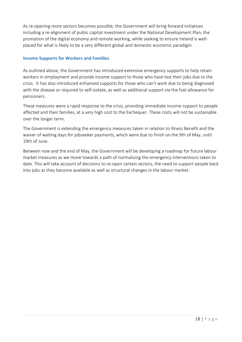As re-opening more sectors becomes possible, the Government will bring forward initiatives including a re-alignment of public capital investment under the National Development Plan, the promotion of the digital economy and remote working, while seeking to ensure Ireland is wellplaced for what is likely to be a very different global and domestic economic paradigm.

## **Income Supports for Workers and Families**

As outlined above, the Government has introduced extensive emergency supports to help retain workers in employment and provide income support to those who have lost their jobs due to the crisis. It has also introduced enhanced supports for those who can't work due to being diagnosed with the disease or required to self-isolate, as well as additional support via the fuel allowance for pensioners.

These measures were a rapid response to the crisis, providing immediate income support to people affected and their families, at a very high cost to the Exchequer. These costs will not be sustainable over the longer term.

The Government is extending the emergency measures taken in relation to Illness Benefit and the waiver of waiting days for jobseeker payments, which were due to finish on the 9th of May, until 19th of June.

Between now and the end of May, the Government will be developing a roadmap for future labour market measures as we move towards a path of normalising the emergency interventions taken to date. This will take account of decisions to re-open certain sectors, the need to support people back into jobs as they become available as well as structural changes in the labour market.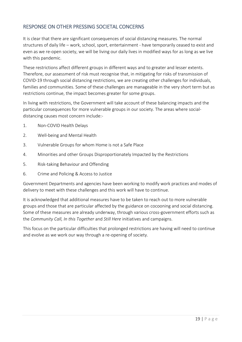# RESPONSE ON OTHER PRESSING SOCIETAL CONCERNS

It is clear that there are significant consequences of social distancing measures. The normal structures of daily life – work, school, sport, entertainment - have temporarily ceased to exist and even as we re-open society, we will be living our daily lives in modified ways for as long as we live with this pandemic.

These restrictions affect different groups in different ways and to greater and lesser extents. Therefore, our assessment of risk must recognise that, in mitigating for risks of transmission of COVID-19 through social distancing restrictions, we are creating other challenges for individuals, families and communities. Some of these challenges are manageable in the very short term but as restrictions continue, the impact becomes greater for some groups.

In living with restrictions, the Government will take account of these balancing impacts and the particular consequences for more vulnerable groups in our society. The areas where socialdistancing causes most concern include:-

- 1. Non-COVID Health Delays
- 2. Well-being and Mental Health
- 3. Vulnerable Groups for whom Home is not a Safe Place
- 4. Minorities and other Groups Disproportionately Impacted by the Restrictions
- 5. Risk-taking Behaviour and Offending
- 6. Crime and Policing & Access to Justice

Government Departments and agencies have been working to modify work practices and modes of delivery to meet with these challenges and this work will have to continue.

It is acknowledged that additional measures have to be taken to reach out to more vulnerable groups and those that are particular affected by the guidance on cocooning and social distancing. Some of these measures are already underway, through various cross-government efforts such as the *Community Call, In this Together* and *Still Here* initiatives and campaigns.

This focus on the particular difficulties that prolonged restrictions are having will need to continue and evolve as we work our way through a re-opening of society.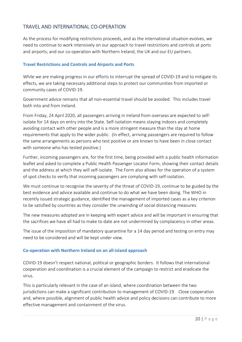# TRAVEL AND INTERNATIONAL CO-OPERATION

As the process for modifying restrictions proceeds, and as the international situation evolves, we need to continue to work intensively on our approach to travel restrictions and controls at ports and airports; and our co-operation with Northern Ireland, the UK and our EU partners.

## **Travel Restrictions and Controls and Airports and Ports**

While we are making progress in our efforts to interrupt the spread of COVID-19 and to mitigate its effects, we are taking necessary additional steps to protect our communities from imported or community cases of COVID-19.

Government advice remains that all non-essential travel should be avoided. This includes travel both into and from Ireland.

From Friday, 24 April 2020, all passengers arriving in Ireland from overseas are expected to selfisolate for 14 days on entry into the State. Self-isolation means staying indoors and completely avoiding contact with other people and is a more stringent measure than the stay at home requirements that apply to the wider public. (In effect, arriving passengers are required to follow the same arrangements as persons who test positive or are known to have been in close contact with someone who has tested positive.)

Further, incoming passengers are, for the first time, being provided with a public health information leaflet and asked to complete a Public Health Passenger Locator Form, showing their contact details and the address at which they will self-isolate. The Form also allows for the operation of a system of spot checks to verify that incoming passengers are complying with self-isolation.

We must continue to recognise the severity of the threat of COVID-19, continue to be guided by the best evidence and advice available and continue to do what we have been doing. The WHO in recently issued strategic guidance, identified the management of imported cases as a key criterion to be satisfied by countries as they consider the unwinding of social distancing measures.

The new measures adopted are in keeping with expert advice and will be important in ensuring that the sacrifices we have all had to make to date are not undermined by complacency in other areas.

The issue of the imposition of mandatory quarantine for a 14 day period and testing on entry may need to be considered and will be kept under view.

## **Co-operation with Northern Ireland on an all-island approach**

COVID-19 doesn't respect national, political or geographic borders. It follows that international cooperation and coordination is a crucial element of the campaign to restrict and eradicate the virus.

This is particularly relevant in the case of an island, where coordination between the two jurisdictions can make a significant contribution to management of COVID-19. Close cooperation and, where possible, alignment of public health advice and policy decisions can contribute to more effective management and containment of the virus.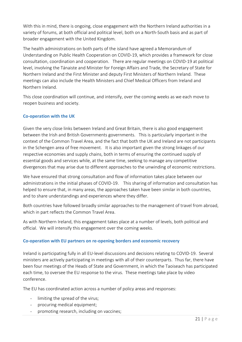With this in mind, there is ongoing, close engagement with the Northern Ireland authorities in a variety of forums, at both official and political level, both on a North-South basis and as part of broader engagement with the United Kingdom.

The health administrations on both parts of the island have agreed a Memorandum of Understanding on Public Health Cooperation on COVID-19, which provides a framework for close consultation, coordination and cooperation. There are regular meetings on COVID-19 at political level, involving the Tánaiste and Minister for Foreign Affairs and Trade, the Secretary of State for Northern Ireland and the First Minister and deputy First Ministers of Northern Ireland. These meetings can also include the Health Ministers and Chief Medical Officers from Ireland and Northern Ireland.

This close coordination will continue, and intensify, over the coming weeks as we each move to reopen business and society.

## **Co-operation with the UK**

Given the very close links between Ireland and Great Britain, there is also good engagement between the Irish and British Governments governments. This is particularly important in the context of the Common Travel Area, and the fact that both the UK and Ireland are not participants in the Schengen area of free movement. It is also important given the strong linkages of our respective economies and supply chains, both in terms of ensuring the continued supply of essential goods and services while, at the same time, seeking to manage any competitive divergences that may arise due to different approaches to the unwinding of economic restrictions.

We have ensured that strong consultation and flow of information takes place between our administrations in the initial phases of COVID-19. This sharing of information and consultation has helped to ensure that, in many areas, the approaches taken have been similar in both countries, and to share understandings and experiences where they differ.

Both countries have followed broadly similar approaches to the management of travel from abroad, which in part reflects the Common Travel Area.

As with Northern Ireland, this engagement takes place at a number of levels, both political and official. We will intensify this engagement over the coming weeks.

## **Co-operation with EU partners on re-opening borders and economic recovery**

Ireland is participating fully in all EU-level discussions and decisions relating to COVID-19. Several ministers are actively participating in meetings with all of their counterparts. Thus far, there have been four meetings of the Heads of State and Government, in which the Taoiseach has participated each time, to oversee the EU response to the virus. These meetings take place by video conference.

The EU has coordinated action across a number of policy areas and responses:

- limiting the spread of the virus;
- procuring medical equipment;
- promoting research, including on vaccines;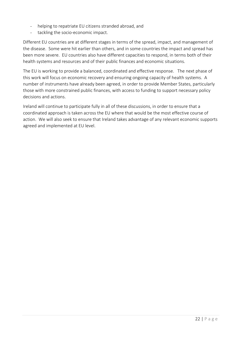- helping to repatriate EU citizens stranded abroad, and
- tackling the socio-economic impact.

Different EU countries are at different stages in terms of the spread, impact, and management of the disease. Some were hit earlier than others, and in some countries the impact and spread has been more severe. EU countries also have different capacities to respond, in terms both of their health systems and resources and of their public finances and economic situations.

The EU is working to provide a balanced, coordinated and effective response. The next phase of this work will focus on economic recovery and ensuring ongoing capacity of health systems. A number of instruments have already been agreed, in order to provide Member States, particularly those with more constrained public finances, with access to funding to support necessary policy decisions and actions.

Ireland will continue to participate fully in all of these discussions, in order to ensure that a coordinated approach is taken across the EU where that would be the most effective course of action. We will also seek to ensure that Ireland takes advantage of any relevant economic supports agreed and implemented at EU level.